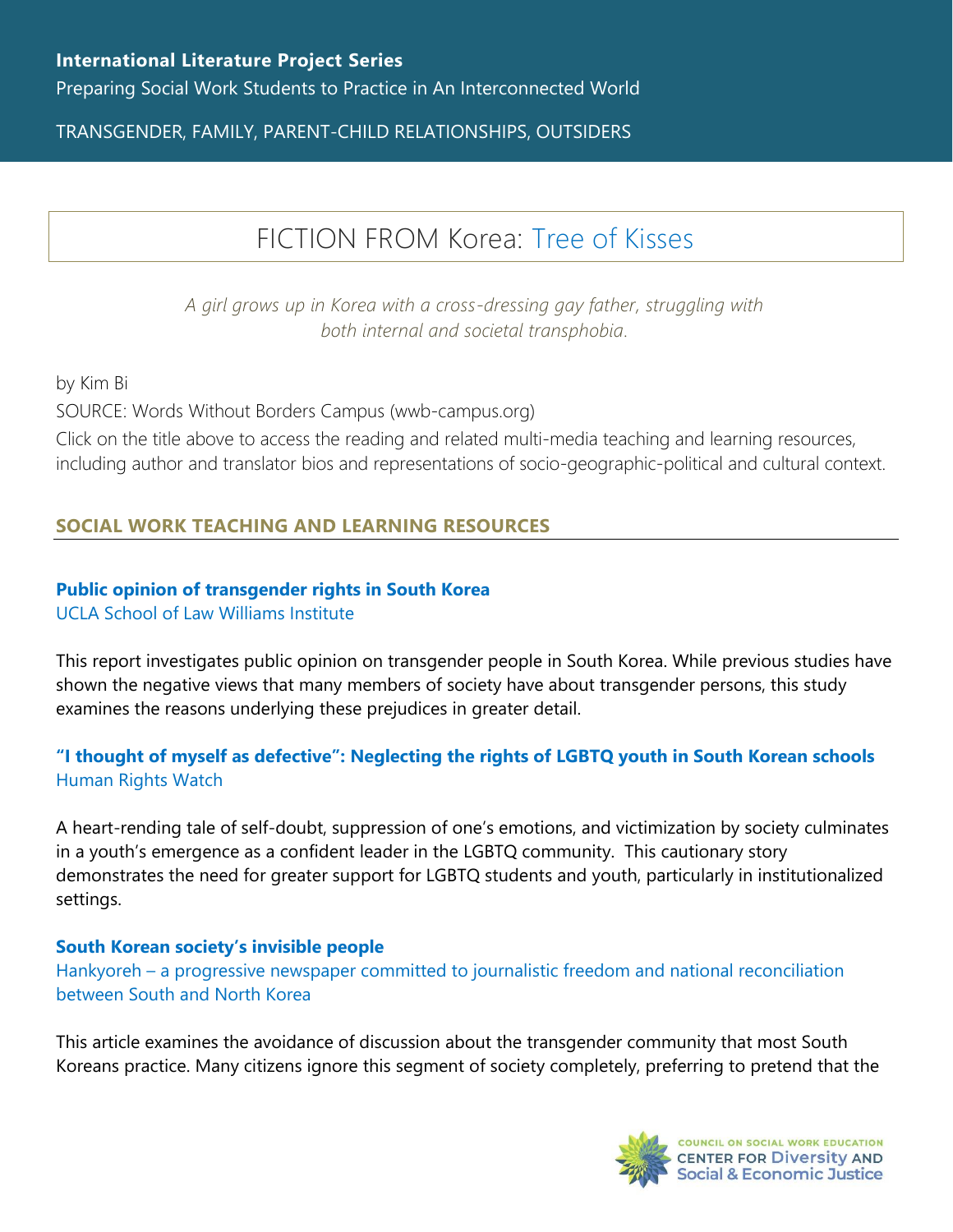TRANSGENDER, FAMILY, PARENT-CHILD RELATIONSHIPS, OUTSIDERS

# FICTION FROM Korea: [Tree of Kisses](https://www.wwb-campus.org/literature/tree-of-lips)

*A girl grows up in Korea with a cross-dressing gay father, struggling with both internal and societal transphobia.*

by Kim Bi

SOURCE: Words Without Borders Campus (wwb-campus.org)

Click on the title above to access the reading and related multi-media teaching and learning resources, including author and translator bios and representations of socio-geographic-political and cultural context.

## **SOCIAL WORK TEACHING AND LEARNING RESOURCES**

#### **[Public opinion of transgender rights in South Korea](https://williamsinstitute.law.ucla.edu/wp-content/uploads/Public-Opinion-Trans-South-Korea-English-Dec-2019.pdf)** [UCLA School of Law Williams Institute](https://williamsinstitute.law.ucla.edu/wp-content/uploads/Public-Opinion-Trans-South-Korea-English-Dec-2019.pdf)

This report investigates public opinion on transgender people in South Korea. While previous studies have shown the negative views that many members of society have about transgender persons, this study examines the reasons underlying these prejudices in greater detail.

## **["I thought of myself as defective": Neglecting the rights of LGBTQ youth in South Korean schools](https://www.hrw.org/report/2021/09/14/i-thought-myself-defective/neglecting-rights-lgbt-youth-south-korean-schools)** [Human Rights Watch](https://www.hrw.org/report/2021/09/14/i-thought-myself-defective/neglecting-rights-lgbt-youth-south-korean-schools)

A heart-rending tale of self-doubt, suppression of one's emotions, and victimization by society culminates in a youth's emergence as a confident leader in the LGBTQ community. This cautionary story demonstrates the need for greater support for LGBTQ students and youth, particularly in institutionalized settings.

## **[South Korean society's invisible people](https://www.hani.co.kr/arti/english_edition/e_national/928427.html)**

Hankyoreh – [a progressive newspaper committed to journalistic freedom and national reconciliation](https://www.hani.co.kr/arti/english_edition/e_national/928427.html)  [between South and North Korea](https://www.hani.co.kr/arti/english_edition/e_national/928427.html)

This article examines the avoidance of discussion about the transgender community that most South Koreans practice. Many citizens ignore this segment of society completely, preferring to pretend that the